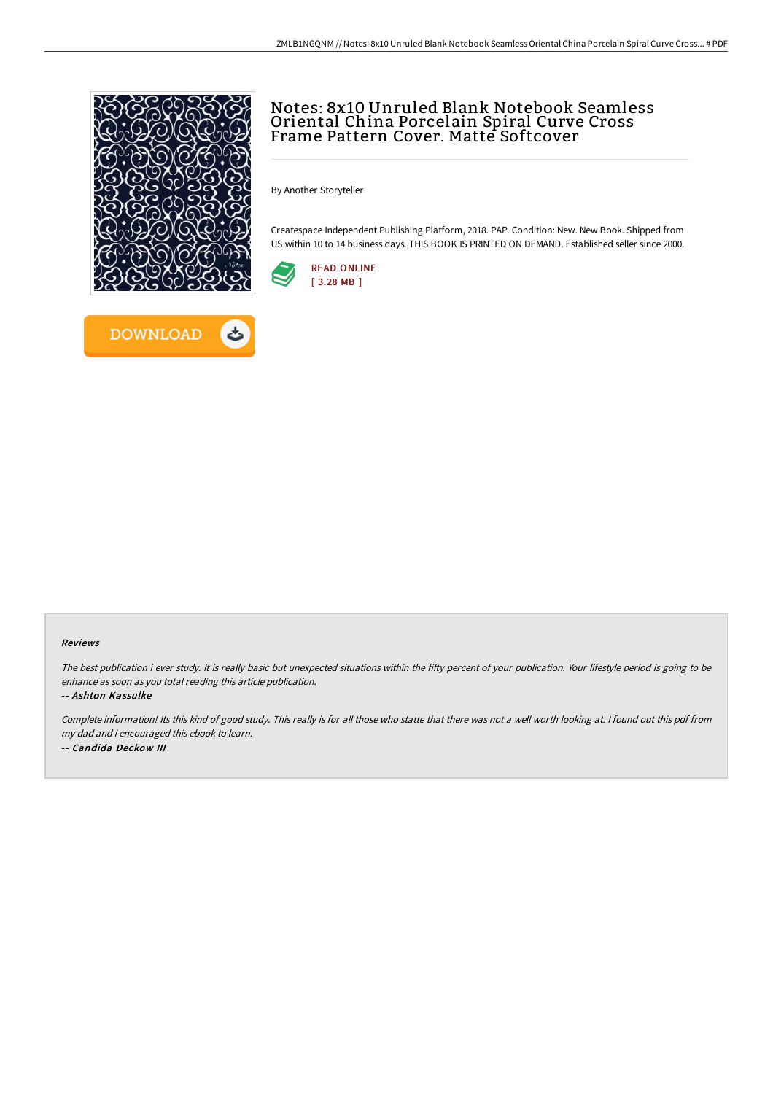

ٹ



By Another Storyteller

Createspace Independent Publishing Platform, 2018. PAP. Condition: New. New Book. Shipped from US within 10 to 14 business days. THIS BOOK IS PRINTED ON DEMAND. Established seller since 2000.



## Reviews

The best publication i ever study. It is really basic but unexpected situations within the fifty percent of your publication. Your lifestyle period is going to be enhance as soon as you total reading this article publication.

-- Ashton Kassulke

Complete information! Its this kind of good study. This really is for all those who statte that there was not <sup>a</sup> well worth looking at. <sup>I</sup> found out this pdf from my dad and i encouraged this ebook to learn. -- Candida Deckow III